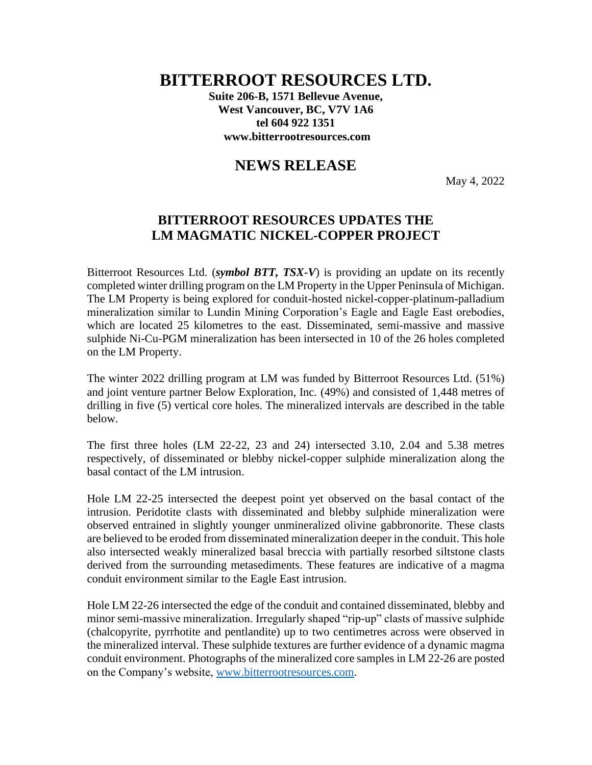# **BITTERROOT RESOURCES LTD.**

**Suite 206-B, 1571 Bellevue Avenue, West Vancouver, BC, V7V 1A6 tel 604 922 1351 www.bitterrootresources.com**

## **NEWS RELEASE**

May 4, 2022

### **BITTERROOT RESOURCES UPDATES THE LM MAGMATIC NICKEL-COPPER PROJECT**

Bitterroot Resources Ltd. (*symbol BTT, TSX-V*) is providing an update on its recently completed winter drilling program on the LM Property in the Upper Peninsula of Michigan. The LM Property is being explored for conduit-hosted nickel-copper-platinum-palladium mineralization similar to Lundin Mining Corporation's Eagle and Eagle East orebodies, which are located 25 kilometres to the east. Disseminated, semi-massive and massive sulphide Ni-Cu-PGM mineralization has been intersected in 10 of the 26 holes completed on the LM Property.

The winter 2022 drilling program at LM was funded by Bitterroot Resources Ltd. (51%) and joint venture partner Below Exploration, Inc. (49%) and consisted of 1,448 metres of drilling in five (5) vertical core holes. The mineralized intervals are described in the table below.

The first three holes (LM 22-22, 23 and 24) intersected 3.10, 2.04 and 5.38 metres respectively, of disseminated or blebby nickel-copper sulphide mineralization along the basal contact of the LM intrusion.

Hole LM 22-25 intersected the deepest point yet observed on the basal contact of the intrusion. Peridotite clasts with disseminated and blebby sulphide mineralization were observed entrained in slightly younger unmineralized olivine gabbronorite. These clasts are believed to be eroded from disseminated mineralization deeper in the conduit. This hole also intersected weakly mineralized basal breccia with partially resorbed siltstone clasts derived from the surrounding metasediments. These features are indicative of a magma conduit environment similar to the Eagle East intrusion.

Hole LM 22-26 intersected the edge of the conduit and contained disseminated, blebby and minor semi-massive mineralization. Irregularly shaped "rip-up" clasts of massive sulphide (chalcopyrite, pyrrhotite and pentlandite) up to two centimetres across were observed in the mineralized interval. These sulphide textures are further evidence of a dynamic magma conduit environment. Photographs of the mineralized core samples in LM 22-26 are posted on the Company's website, [www.bitterrootresources.com.](http://www.bitterrootresources.com/)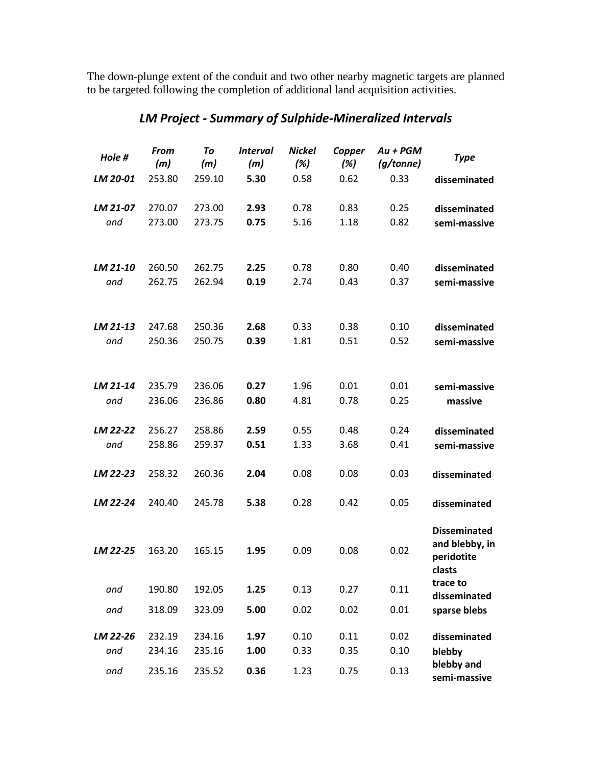The down-plunge extent of the conduit and two other nearby magnetic targets are planned to be targeted following the completion of additional land acquisition activities.

| Hole #          | <b>From</b><br>(m) | To<br>(m)        | <b>Interval</b><br>(m) | <b>Nickel</b><br>(%) | Copper<br>(%) | $Au + PGM$<br>(g/tonne) | <b>Type</b>                                                   |
|-----------------|--------------------|------------------|------------------------|----------------------|---------------|-------------------------|---------------------------------------------------------------|
| LM 20-01        | 253.80             | 259.10           | 5.30                   | 0.58                 | 0.62          | 0.33                    | disseminated                                                  |
| LM 21-07        | 270.07             | 273.00           | 2.93                   | 0.78                 | 0.83          | 0.25                    | disseminated                                                  |
| and             | 273.00             | 273.75           | 0.75                   | 5.16                 | 1.18          | 0.82                    | semi-massive                                                  |
| LM 21-10        | 260.50             | 262.75           | 2.25                   | 0.78                 | 0.80          | 0.40                    | disseminated                                                  |
| and             | 262.75             | 262.94           | 0.19                   | 2.74                 | 0.43          | 0.37                    | semi-massive                                                  |
| LM 21-13        | 247.68             | 250.36           | 2.68                   | 0.33                 | 0.38          | 0.10                    | disseminated                                                  |
| and             | 250.36             | 250.75           | 0.39                   | 1.81                 | 0.51          | 0.52                    | semi-massive                                                  |
| LM 21-14        | 235.79             | 236.06           | 0.27                   | 1.96                 | 0.01          | 0.01                    | semi-massive                                                  |
| and             | 236.06             | 236.86           | 0.80                   | 4.81                 | 0.78          | 0.25                    | massive                                                       |
| LM 22-22        | 256.27             | 258.86           | 2.59                   | 0.55                 | 0.48          | 0.24                    | disseminated                                                  |
| and             | 258.86             | 259.37           | 0.51                   | 1.33                 | 3.68          | 0.41                    | semi-massive                                                  |
| LM 22-23        | 258.32             | 260.36           | 2.04                   | 0.08                 | 0.08          | 0.03                    | disseminated                                                  |
| LM 22-24        | 240.40             | 245.78           | 5.38                   | 0.28                 | 0.42          | 0.05                    | disseminated                                                  |
| LM 22-25        | 163.20             | 165.15           | 1.95                   | 0.09                 | 0.08          | 0.02                    | <b>Disseminated</b><br>and blebby, in<br>peridotite<br>clasts |
| and             | 190.80             | 192.05           | 1.25                   | 0.13                 | 0.27          | 0.11                    | trace to<br>disseminated                                      |
| and             | 318.09             | 323.09           | 5.00                   | 0.02                 | 0.02          | 0.01                    | sparse blebs                                                  |
| LM 22-26<br>and | 232.19<br>234.16   | 234.16<br>235.16 | 1.97<br>1.00           | 0.10<br>0.33         | 0.11<br>0.35  | 0.02<br>0.10            | disseminated<br>blebby                                        |
| and             | 235.16             | 235.52           | 0.36                   | 1.23                 | 0.75          | 0.13                    | blebby and<br>semi-massive                                    |

## *LM Project - Summary of Sulphide-Mineralized Intervals*